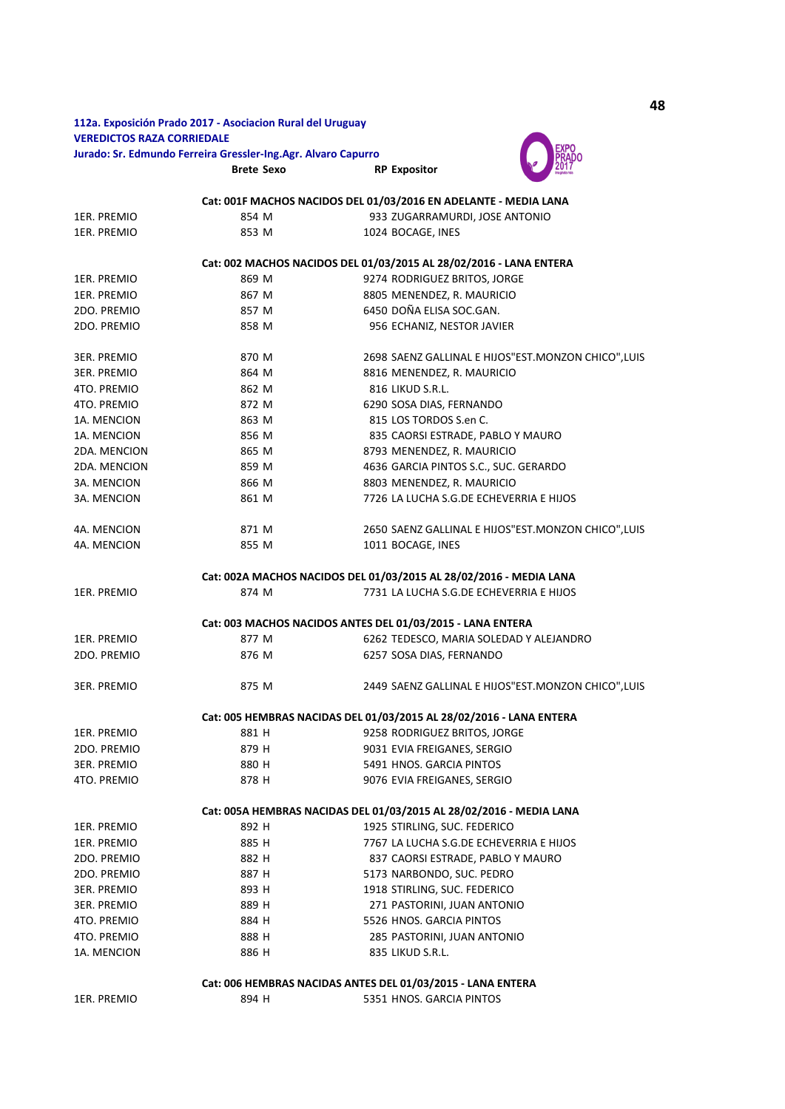## **112a. Exposición Prado 2017 - Asociacion Rural del Uruguay VEREDICTOS RAZA CORRIEDALE Jurado: Sr. Edmundo Ferreira Gressler-Ing.Agr. Alvaro Capurro**

**Brete Sexo RP Expositor**



|                                                                     |       | Cat: 001F MACHOS NACIDOS DEL 01/03/2016 EN ADELANTE - MEDIA LANA    |
|---------------------------------------------------------------------|-------|---------------------------------------------------------------------|
| 1ER. PREMIO                                                         | 854 M | 933 ZUGARRAMURDI, JOSE ANTONIO                                      |
| 1ER. PREMIO                                                         | 853 M | 1024 BOCAGE, INES                                                   |
|                                                                     |       |                                                                     |
| Cat: 002 MACHOS NACIDOS DEL 01/03/2015 AL 28/02/2016 - LANA ENTERA  |       |                                                                     |
| 1ER. PREMIO                                                         | 869 M | 9274 RODRIGUEZ BRITOS, JORGE                                        |
| 1ER. PREMIO                                                         | 867 M | 8805 MENENDEZ, R. MAURICIO                                          |
| 2DO. PREMIO                                                         | 857 M | 6450 DOÑA ELISA SOC.GAN.                                            |
| 2DO. PREMIO                                                         | 858 M | 956 ECHANIZ, NESTOR JAVIER                                          |
| 3ER. PREMIO                                                         | 870 M | 2698 SAENZ GALLINAL E HIJOS"EST.MONZON CHICO", LUIS                 |
| 3ER. PREMIO                                                         | 864 M | 8816 MENENDEZ, R. MAURICIO                                          |
| 4TO. PREMIO                                                         | 862 M | 816 LIKUD S.R.L.                                                    |
| 4TO. PREMIO                                                         | 872 M | 6290 SOSA DIAS, FERNANDO                                            |
|                                                                     | 863 M | 815 LOS TORDOS S.en C.                                              |
| 1A. MENCION                                                         |       |                                                                     |
| 1A. MENCION                                                         | 856 M | 835 CAORSI ESTRADE, PABLO Y MAURO                                   |
| 2DA. MENCION                                                        | 865 M | 8793 MENENDEZ, R. MAURICIO                                          |
| 2DA. MENCION                                                        | 859 M | 4636 GARCIA PINTOS S.C., SUC. GERARDO                               |
| 3A. MENCION                                                         | 866 M | 8803 MENENDEZ, R. MAURICIO                                          |
| 3A. MENCION                                                         | 861 M | 7726 LA LUCHA S.G.DE ECHEVERRIA E HIJOS                             |
| 4A. MENCION                                                         | 871 M | 2650 SAENZ GALLINAL E HIJOS"EST.MONZON CHICO", LUIS                 |
| 4A. MENCION                                                         | 855 M | 1011 BOCAGE, INES                                                   |
|                                                                     |       |                                                                     |
| Cat: 002A MACHOS NACIDOS DEL 01/03/2015 AL 28/02/2016 - MEDIA LANA  |       |                                                                     |
| 1ER. PREMIO                                                         | 874 M | 7731 LA LUCHA S.G.DE ECHEVERRIA E HIJOS                             |
|                                                                     |       | Cat: 003 MACHOS NACIDOS ANTES DEL 01/03/2015 - LANA ENTERA          |
| 1ER. PREMIO                                                         | 877 M | 6262 TEDESCO, MARIA SOLEDAD Y ALEJANDRO                             |
| 2DO. PREMIO                                                         | 876 M | 6257 SOSA DIAS, FERNANDO                                            |
|                                                                     |       |                                                                     |
| 3ER. PREMIO                                                         | 875 M | 2449 SAENZ GALLINAL E HIJOS"EST.MONZON CHICO", LUIS                 |
|                                                                     |       | Cat: 005 HEMBRAS NACIDAS DEL 01/03/2015 AL 28/02/2016 - LANA ENTERA |
| 1ER. PREMIO                                                         | 881 H | 9258 RODRIGUEZ BRITOS, JORGE                                        |
| 2DO. PREMIO                                                         | 879 H | 9031 EVIA FREIGANES, SERGIO                                         |
| 3ER. PREMIO                                                         | 880 H | 5491 HNOS. GARCIA PINTOS                                            |
|                                                                     |       |                                                                     |
| 4TO. PREMIO                                                         | 878 H | 9076 EVIA FREIGANES, SERGIO                                         |
| Cat: 005A HEMBRAS NACIDAS DEL 01/03/2015 AL 28/02/2016 - MEDIA LANA |       |                                                                     |
| 1ER. PREMIO                                                         | 892 H | 1925 STIRLING, SUC. FEDERICO                                        |
| 1ER. PREMIO                                                         | 885 H | 7767 LA LUCHA S.G.DE ECHEVERRIA E HIJOS                             |
| 2DO. PREMIO                                                         | 882 H | 837 CAORSI ESTRADE, PABLO Y MAURO                                   |
| 2DO. PREMIO                                                         | 887 H | 5173 NARBONDO, SUC. PEDRO                                           |
| 3ER. PREMIO                                                         | 893 H | 1918 STIRLING, SUC. FEDERICO                                        |
| 3ER. PREMIO                                                         | 889 H | 271 PASTORINI, JUAN ANTONIO                                         |
| 4TO. PREMIO                                                         | 884 H | 5526 HNOS. GARCIA PINTOS                                            |
| 4TO. PREMIO                                                         | 888 H | 285 PASTORINI, JUAN ANTONIO                                         |
| 1A. MENCION                                                         | 886 H | 835 LIKUD S.R.L.                                                    |
|                                                                     |       |                                                                     |
|                                                                     |       | Cat: 006 HEMBRAS NACIDAS ANTES DEL 01/03/2015 - LANA ENTERA         |
| 1ER. PREMIO                                                         | 894 H | 5351 HNOS. GARCIA PINTOS                                            |